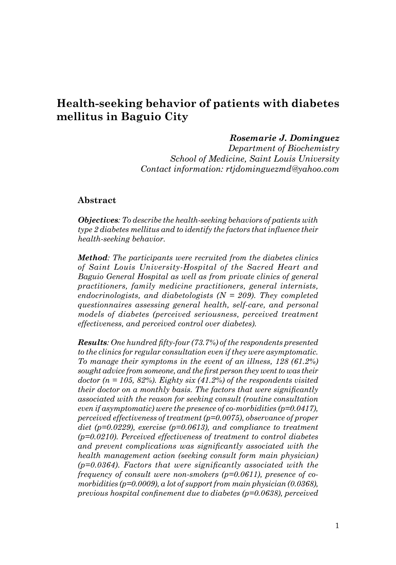# **Health-seeking behavior of patients with diabetes mellitus in Baguio City**

### *Rosemarie J. Dominguez*

*Department of Biochemistry School of Medicine, Saint Louis University Contact information: rtjdominguezmd@yahoo.com*

#### **Abstract**

*Objectives: To describe the health-seeking behaviors of patients with type 2 diabetes mellitus and to identify the factors that influence their health-seeking behavior.*

*Method: The participants were recruited from the diabetes clinics of Saint Louis University-Hospital of the Sacred Heart and Baguio General Hospital as well as from private clinics of general practitioners, family medicine practitioners, general internists, endocrinologists, and diabetologists (N = 209). They completed questionnaires assessing general health, self-care, and personal models of diabetes (perceived seriousness, perceived treatment effectiveness, and perceived control over diabetes).* 

*Results: One hundred fifty-four (73.7%) of the respondents presented to the clinics for regular consultation even if they were asymptomatic. To manage their symptoms in the event of an illness, 128 (61.2%) sought advice from someone, and the first person they went to was their doctor (n = 105, 82%). Eighty six (41.2%) of the respondents visited their doctor on a monthly basis. The factors that were significantly associated with the reason for seeking consult (routine consultation even if asymptomatic) were the presence of co-morbidities (p=0.0417), perceived effectiveness of treatment (p=0.0075), observance of proper diet (p=0.0229), exercise (p=0.0613), and compliance to treatment (p=0.0210). Perceived effectiveness of treatment to control diabetes and prevent complications was significantly associated with the health management action (seeking consult form main physician) (p=0.0364). Factors that were significantly associated with the frequency of consult were non-smokers (p=0.0611), presence of comorbidities (p=0.0009), a lot of support from main physician (0.0368), previous hospital confinement due to diabetes (p=0.0638), perceived*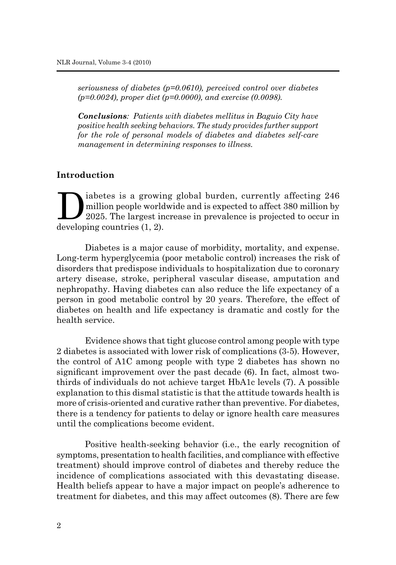*seriousness of diabetes (p=0.0610), perceived control over diabetes (p=0.0024), proper diet (p=0.0000), and exercise (0.0098).*

*Conclusions: Patients with diabetes mellitus in Baguio City have positive health seeking behaviors. The study provides further support for the role of personal models of diabetes and diabetes self-care management in determining responses to illness.* 

## **Introduction**

I iabetes is a growing global burden, currently affecting 246<br>million people worldwide and is expected to affect 380 million by<br>2025. The largest increase in prevalence is projected to occur in<br>developing countries (1, 2) million people worldwide and is expected to affect 380 million by developing countries (1, 2).

Diabetes is a major cause of morbidity, mortality, and expense. Long-term hyperglycemia (poor metabolic control) increases the risk of disorders that predispose individuals to hospitalization due to coronary artery disease, stroke, peripheral vascular disease, amputation and nephropathy. Having diabetes can also reduce the life expectancy of a person in good metabolic control by 20 years. Therefore, the effect of diabetes on health and life expectancy is dramatic and costly for the health service.

Evidence shows that tight glucose control among people with type 2 diabetes is associated with lower risk of complications (3-5). However, the control of A1C among people with type 2 diabetes has shown no significant improvement over the past decade (6). In fact, almost twothirds of individuals do not achieve target HbA1c levels (7). A possible explanation to this dismal statistic is that the attitude towards health is more of crisis-oriented and curative rather than preventive. For diabetes, there is a tendency for patients to delay or ignore health care measures until the complications become evident.

Positive health-seeking behavior (i.e., the early recognition of symptoms, presentation to health facilities, and compliance with effective treatment) should improve control of diabetes and thereby reduce the incidence of complications associated with this devastating disease. Health beliefs appear to have a major impact on people's adherence to treatment for diabetes, and this may affect outcomes (8). There are few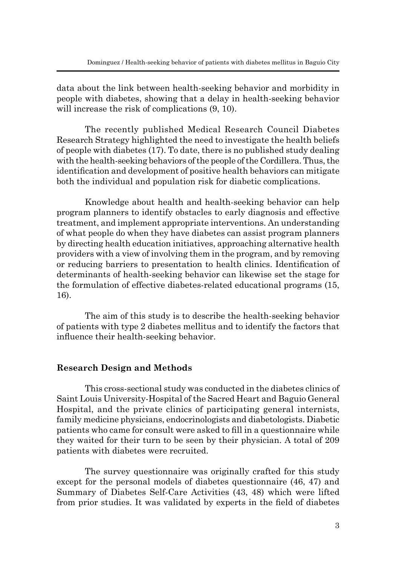data about the link between health-seeking behavior and morbidity in people with diabetes, showing that a delay in health-seeking behavior will increase the risk of complications (9, 10).

The recently published Medical Research Council Diabetes Research Strategy highlighted the need to investigate the health beliefs of people with diabetes (17). To date, there is no published study dealing with the health-seeking behaviors of the people of the Cordillera. Thus, the identification and development of positive health behaviors can mitigate both the individual and population risk for diabetic complications.

Knowledge about health and health-seeking behavior can help program planners to identify obstacles to early diagnosis and effective treatment, and implement appropriate interventions. An understanding of what people do when they have diabetes can assist program planners by directing health education initiatives, approaching alternative health providers with a view of involving them in the program, and by removing or reducing barriers to presentation to health clinics. Identification of determinants of health-seeking behavior can likewise set the stage for the formulation of effective diabetes-related educational programs (15, 16).

The aim of this study is to describe the health-seeking behavior of patients with type 2 diabetes mellitus and to identify the factors that influence their health-seeking behavior.

## **Research Design and Methods**

This cross-sectional study was conducted in the diabetes clinics of Saint Louis University-Hospital of the Sacred Heart and Baguio General Hospital, and the private clinics of participating general internists, family medicine physicians, endocrinologists and diabetologists. Diabetic patients who came for consult were asked to fill in a questionnaire while they waited for their turn to be seen by their physician. A total of 209 patients with diabetes were recruited.

The survey questionnaire was originally crafted for this study except for the personal models of diabetes questionnaire (46, 47) and Summary of Diabetes Self-Care Activities (43, 48) which were lifted from prior studies. It was validated by experts in the field of diabetes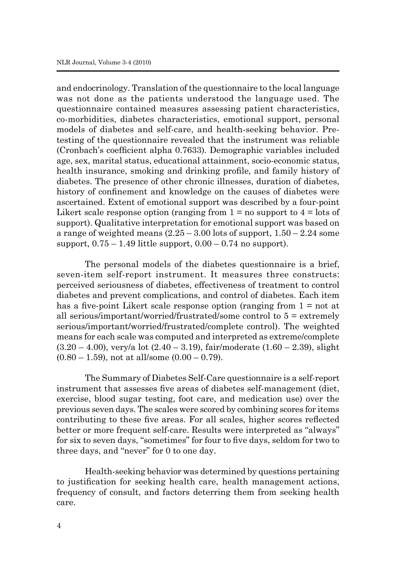and endocrinology. Translation of the questionnaire to the local language was not done as the patients understood the language used. The questionnaire contained measures assessing patient characteristics, co-morbidities, diabetes characteristics, emotional support, personal models of diabetes and self-care, and health-seeking behavior. Pretesting of the questionnaire revealed that the instrument was reliable (Cronbach's coefficient alpha 0.7633). Demographic variables included age, sex, marital status, educational attainment, socio-economic status, health insurance, smoking and drinking profile, and family history of diabetes. The presence of other chronic illnesses, duration of diabetes, history of confinement and knowledge on the causes of diabetes were ascertained. Extent of emotional support was described by a four-point Likert scale response option (ranging from  $1 =$  no support to  $4 =$  lots of support). Qualitative interpretation for emotional support was based on a range of weighted means  $(2.25 - 3.00)$  lots of support,  $1.50 - 2.24$  some support,  $0.75 - 1.49$  little support,  $0.00 - 0.74$  no support).

The personal models of the diabetes questionnaire is a brief, seven-item self-report instrument. It measures three constructs: perceived seriousness of diabetes, effectiveness of treatment to control diabetes and prevent complications, and control of diabetes. Each item has a five-point Likert scale response option (ranging from  $1 = not$  at all serious/important/worried/frustrated/some control to  $5 =$  extremely serious/important/worried/frustrated/complete control). The weighted means for each scale was computed and interpreted as extreme/complete  $(3.20 - 4.00)$ , very/a lot  $(2.40 - 3.19)$ , fair/moderate  $(1.60 - 2.39)$ , slight  $(0.80 - 1.59)$ , not at all/some  $(0.00 - 0.79)$ .

The Summary of Diabetes Self-Care questionnaire is a self-report instrument that assesses five areas of diabetes self-management (diet, exercise, blood sugar testing, foot care, and medication use) over the previous seven days. The scales were scored by combining scores for items contributing to these five areas. For all scales, higher scores reflected better or more frequent self-care. Results were interpreted as "always" for six to seven days, "sometimes" for four to five days, seldom for two to three days, and "never" for 0 to one day.

Health-seeking behavior was determined by questions pertaining to justification for seeking health care, health management actions, frequency of consult, and factors deterring them from seeking health care.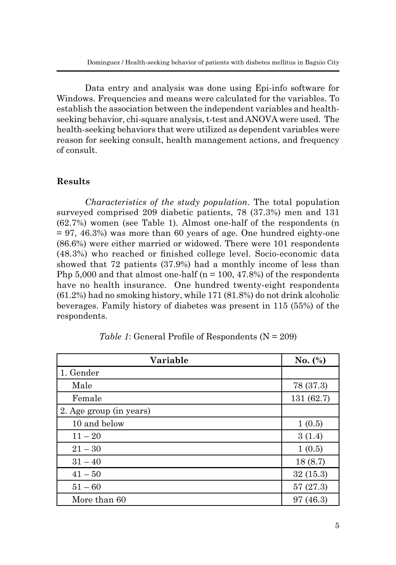Data entry and analysis was done using Epi-info software for Windows. Frequencies and means were calculated for the variables. To establish the association between the independent variables and healthseeking behavior, chi-square analysis, t-test and ANOVA were used. The health-seeking behaviors that were utilized as dependent variables were reason for seeking consult, health management actions, and frequency of consult.

## **Results**

*Characteristics of the study population*. The total population surveyed comprised 209 diabetic patients, 78 (37.3%) men and 131 (62.7%) women (see Table 1). Almost one-half of the respondents (n  $= 97, 46.3\%$ ) was more than 60 years of age. One hundred eighty-one (86.6%) were either married or widowed. There were 101 respondents (48.3%) who reached or finished college level. Socio-economic data showed that 72 patients (37.9%) had a monthly income of less than Php 5,000 and that almost one-half ( $n = 100, 47.8\%$ ) of the respondents have no health insurance. One hundred twenty-eight respondents (61.2%) had no smoking history, while 171 (81.8%) do not drink alcoholic beverages. Family history of diabetes was present in 115 (55%) of the respondents.

| Variable                | No. $(\%)$ |
|-------------------------|------------|
| 1. Gender               |            |
| Male                    | 78 (37.3)  |
| Female                  | 131 (62.7) |
| 2. Age group (in years) |            |
| 10 and below            | 1(0.5)     |
| $11 - 20$               | 3(1.4)     |
| $21 - 30$               | 1(0.5)     |
| $31 - 40$               | 18(8.7)    |
| $41 - 50$               | 32(15.3)   |
| $51 - 60$               | 57(27.3)   |
| More than 60            | 97(46.3)   |

*Table 1*: General Profile of Respondents (N = 209)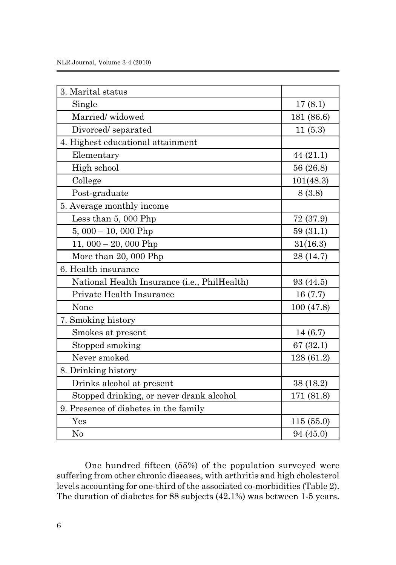| 3. Marital status                            |            |
|----------------------------------------------|------------|
| Single                                       | 17(8.1)    |
| Married/widowed                              | 181 (86.6) |
| Divorced/separated                           | 11(5.3)    |
| 4. Highest educational attainment            |            |
| Elementary                                   | 44(21.1)   |
| High school                                  | 56 (26.8)  |
| College                                      | 101(48.3)  |
| Post-graduate                                | 8(3.8)     |
| 5. Average monthly income                    |            |
| Less than 5,000 Php                          | 72 (37.9)  |
| $5,000 - 10,000$ Php                         | 59(31.1)   |
| 11, 000 $-$ 20, 000 Php                      | 31(16.3)   |
| More than 20, 000 Php                        | 28 (14.7)  |
| 6. Health insurance                          |            |
| National Health Insurance (i.e., PhilHealth) | 93 (44.5)  |
| Private Health Insurance                     | 16(7.7)    |
| None                                         | 100 (47.8) |
| 7. Smoking history                           |            |
| Smokes at present                            | 14 (6.7)   |
| Stopped smoking                              | 67(32.1)   |
| Never smoked                                 | 128 (61.2) |
| 8. Drinking history                          |            |
| Drinks alcohol at present                    | 38(18.2)   |
| Stopped drinking, or never drank alcohol     | 171 (81.8) |
| 9. Presence of diabetes in the family        |            |
| $\operatorname{Yes}$                         | 115(55.0)  |
| N <sub>0</sub>                               | 94 (45.0)  |

One hundred fifteen (55%) of the population surveyed were suffering from other chronic diseases, with arthritis and high cholesterol levels accounting for one-third of the associated co-morbidities (Table 2). The duration of diabetes for 88 subjects (42.1%) was between 1-5 years.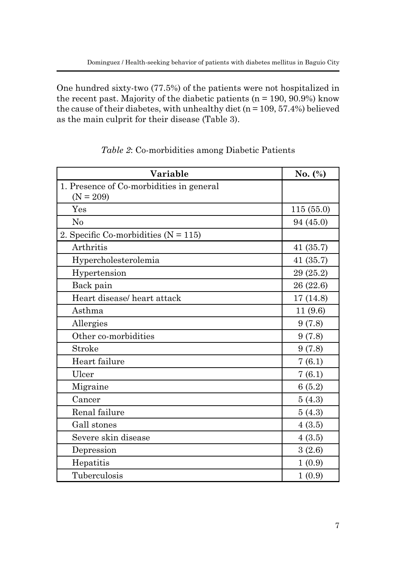One hundred sixty-two (77.5%) of the patients were not hospitalized in the recent past. Majority of the diabetic patients ( $n = 190, 90.9\%$ ) know the cause of their diabetes, with unhealthy diet ( $n = 109, 57.4\%$ ) believed as the main culprit for their disease (Table 3).

| Variable                                 | No. (%)   |
|------------------------------------------|-----------|
| 1. Presence of Co-morbidities in general |           |
| $(N = 209)$                              |           |
| Yes                                      | 115(55.0) |
| No                                       | 94 (45.0) |
| 2. Specific Co-morbidities $(N = 115)$   |           |
| Arthritis                                | 41(35.7)  |
| Hypercholesterolemia                     | 41(35.7)  |
| Hypertension                             | 29 (25.2) |
| Back pain                                | 26 (22.6) |
| Heart disease/heart attack               | 17(14.8)  |
| Asthma                                   | 11(9.6)   |
| Allergies                                | 9(7.8)    |
| Other co-morbidities                     | 9(7.8)    |
| Stroke                                   | 9(7.8)    |
| Heart failure                            | 7(6.1)    |
| Ulcer                                    | 7(6.1)    |
| Migraine                                 | 6(5.2)    |
| Cancer                                   | 5(4.3)    |
| Renal failure                            | 5(4.3)    |
| Gall stones                              | 4(3.5)    |
| Severe skin disease                      | 4(3.5)    |
| Depression                               | 3(2.6)    |
| Hepatitis                                | 1(0.9)    |
| Tuberculosis                             | 1(0.9)    |

# *Table 2*: Co-morbidities among Diabetic Patients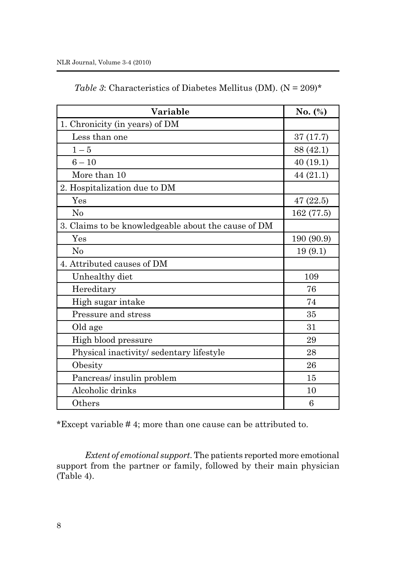| Variable                                            | No. $(\%)$ |
|-----------------------------------------------------|------------|
| 1. Chronicity (in years) of DM                      |            |
| Less than one                                       | 37 (17.7)  |
| $1-5$                                               | 88 (42.1)  |
| $6 - 10$                                            | 40(19.1)   |
| More than 10                                        | 44 (21.1)  |
| 2. Hospitalization due to DM                        |            |
| Yes                                                 | 47(22.5)   |
| No                                                  | 162 (77.5) |
| 3. Claims to be knowledgeable about the cause of DM |            |
| Yes                                                 | 190 (90.9) |
| $\rm No$                                            | 19(9.1)    |
| 4. Attributed causes of DM                          |            |
| Unhealthy diet                                      | 109        |
| Hereditary                                          | 76         |
| High sugar intake                                   | 74         |
| Pressure and stress                                 | 35         |
| Old age                                             | 31         |
| High blood pressure                                 | 29         |
| Physical inactivity/sedentary lifestyle             | 28         |
| Obesity                                             | 26         |
| Pancreas/insulin problem                            | 15         |
| Alcoholic drinks                                    | 10         |
| Others                                              | 6          |

|  |  |  | Table 3: Characteristics of Diabetes Mellitus (DM). $(N = 209)^*$ |  |  |
|--|--|--|-------------------------------------------------------------------|--|--|
|--|--|--|-------------------------------------------------------------------|--|--|

\*Except variable # 4; more than one cause can be attributed to.

*Extent of emotional support*. The patients reported more emotional support from the partner or family, followed by their main physician (Table 4).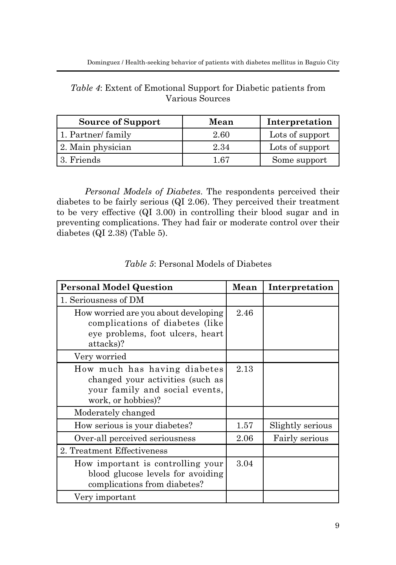| <i>Table 4</i> : Extent of Emotional Support for Diabetic patients from |  |
|-------------------------------------------------------------------------|--|
| Various Sources                                                         |  |

| <b>Source of Support</b> | Mean | Interpretation  |
|--------------------------|------|-----------------|
| 1. Partner/family        | 2.60 | Lots of support |
| 2. Main physician        | 2.34 | Lots of support |
| 3. Friends               | 1 67 | Some support    |

*Personal Models of Diabetes*. The respondents perceived their diabetes to be fairly serious (QI 2.06). They perceived their treatment to be very effective (QI 3.00) in controlling their blood sugar and in preventing complications. They had fair or moderate control over their diabetes (QI 2.38) (Table 5).

| <b>Personal Model Question</b>                                                                                           | Mean | Interpretation   |
|--------------------------------------------------------------------------------------------------------------------------|------|------------------|
| 1. Seriousness of DM                                                                                                     |      |                  |
| How worried are you about developing<br>complications of diabetes (like<br>eye problems, foot ulcers, heart<br>attacks)? | 2.46 |                  |
| Very worried                                                                                                             |      |                  |
| How much has having diabetes<br>changed your activities (such as<br>your family and social events,<br>work, or hobbies)? | 2.13 |                  |
| Moderately changed                                                                                                       |      |                  |
| How serious is your diabetes?                                                                                            | 1.57 | Slightly serious |
| Over-all perceived seriousness                                                                                           | 2.06 | Fairly serious   |
| 2. Treatment Effectiveness                                                                                               |      |                  |
| How important is controlling your<br>blood glucose levels for avoiding<br>complications from diabetes?                   | 3.04 |                  |
| Very important                                                                                                           |      |                  |

*Table 5*: Personal Models of Diabetes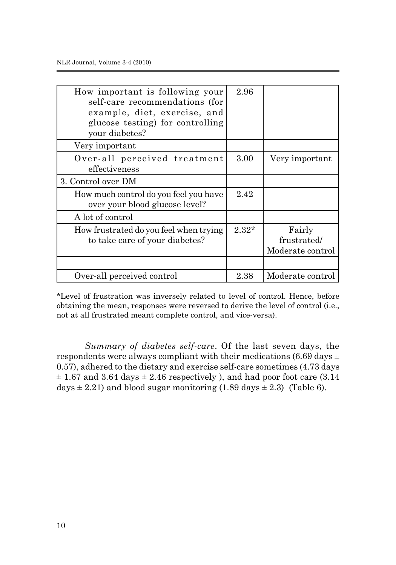| How important is following your<br>self-care recommendations (for<br>example, diet, exercise, and<br>glucose testing) for controlling<br>your diabetes? | 2.96    |                                           |
|---------------------------------------------------------------------------------------------------------------------------------------------------------|---------|-------------------------------------------|
| Very important                                                                                                                                          |         |                                           |
| Over-all perceived treatment<br>effectiveness                                                                                                           | 3.00    | Very important                            |
| 3. Control over DM                                                                                                                                      |         |                                           |
| How much control do you feel you have<br>over your blood glucose level?                                                                                 | 2.42    |                                           |
| A lot of control                                                                                                                                        |         |                                           |
| How frustrated do you feel when trying<br>to take care of your diabetes?                                                                                | $2.32*$ | Fairly<br>frustrated/<br>Moderate control |
| Over-all perceived control                                                                                                                              | 2.38    | Moderate control                          |

\*Level of frustration was inversely related to level of control. Hence, before obtaining the mean, responses were reversed to derive the level of control (i.e., not at all frustrated meant complete control, and vice-versa).

*Summary of diabetes self-care*. Of the last seven days, the respondents were always compliant with their medications  $(6.69 \text{ days} \pm$ 0.57), adhered to the dietary and exercise self-care sometimes (4.73 days  $\pm$  1.67 and 3.64 days  $\pm$  2.46 respectively ), and had poor foot care (3.14) days  $\pm$  2.21) and blood sugar monitoring (1.89 days  $\pm$  2.3) (Table 6).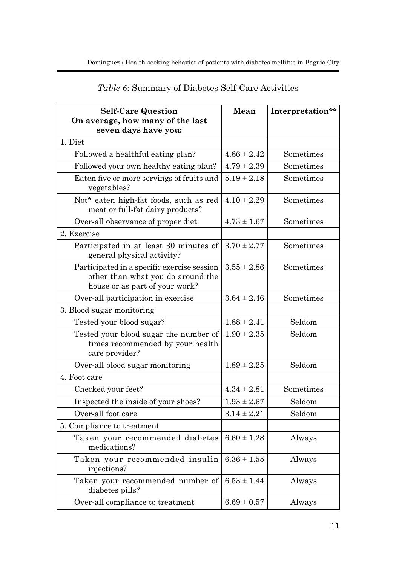| <b>Self-Care Question</b><br>On average, how many of the last                                                      | Mean            | Interpretation** |
|--------------------------------------------------------------------------------------------------------------------|-----------------|------------------|
| seven days have you:                                                                                               |                 |                  |
| 1. Diet                                                                                                            |                 |                  |
| Followed a healthful eating plan?                                                                                  | $4.86 \pm 2.42$ | Sometimes        |
| Followed your own healthy eating plan?                                                                             | $4.79 \pm 2.39$ | Sometimes        |
| Eaten five or more servings of fruits and<br>vegetables?                                                           | $5.19 \pm 2.18$ | Sometimes        |
| Not* eaten high-fat foods, such as red<br>meat or full-fat dairy products?                                         | $4.10 \pm 2.29$ | Sometimes        |
| Over-all observance of proper diet                                                                                 | $4.73 \pm 1.67$ | Sometimes        |
| 2. Exercise                                                                                                        |                 |                  |
| Participated in at least 30 minutes of<br>general physical activity?                                               | $3.70 \pm 2.77$ | Sometimes        |
| Participated in a specific exercise session<br>other than what you do around the<br>house or as part of your work? | $3.55 \pm 2.86$ | Sometimes        |
| Over-all participation in exercise                                                                                 | $3.64 \pm 2.46$ | Sometimes        |
| 3. Blood sugar monitoring                                                                                          |                 |                  |
| Tested your blood sugar?                                                                                           | $1.88 \pm 2.41$ | Seldom           |
| Tested your blood sugar the number of<br>times recommended by your health<br>care provider?                        | $1.90 \pm 2.35$ | Seldom           |
| Over-all blood sugar monitoring                                                                                    | $1.89 \pm 2.25$ | Seldom           |
| 4. Foot care                                                                                                       |                 |                  |
| Checked your feet?                                                                                                 | $4.34 \pm 2.81$ | Sometimes        |
| Inspected the inside of your shoes?                                                                                | $1.93 \pm 2.67$ | Seldom           |
| Over-all foot care                                                                                                 | $3.14 \pm 2.21$ | Seldom           |
| 5. Compliance to treatment                                                                                         |                 |                  |
| Taken your recommended diabetes<br>medications?                                                                    | $6.60 \pm 1.28$ | Always           |
| Taken your recommended insulin<br>injections?                                                                      | $6.36 \pm 1.55$ | Always           |
| Taken your recommended number of<br>diabetes pills?                                                                | $6.53 \pm 1.44$ | Always           |
| Over-all compliance to treatment                                                                                   | $6.69 \pm 0.57$ | Always           |

# *Table 6*: Summary of Diabetes Self-Care Activities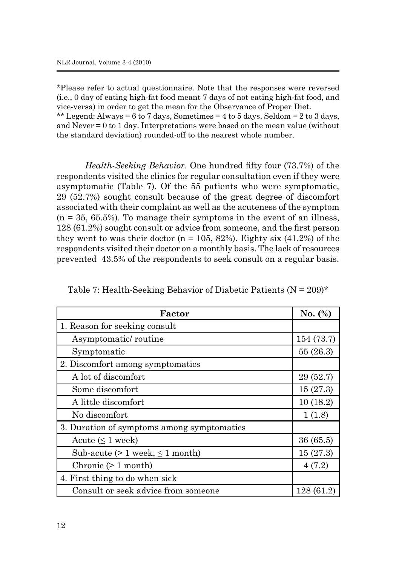\*Please refer to actual questionnaire. Note that the responses were reversed (i.e., 0 day of eating high-fat food meant 7 days of not eating high-fat food, and vice-versa) in order to get the mean for the Observance of Proper Diet. \*\* Legend: Always = 6 to 7 days, Sometimes = 4 to 5 days, Seldom = 2 to 3 days, and Never = 0 to 1 day. Interpretations were based on the mean value (without the standard deviation) rounded-off to the nearest whole number.

*Health-Seeking Behavior*. One hundred fifty four (73.7%) of the respondents visited the clinics for regular consultation even if they were asymptomatic (Table 7). Of the 55 patients who were symptomatic, 29 (52.7%) sought consult because of the great degree of discomfort associated with their complaint as well as the acuteness of the symptom  $(n = 35, 65.5\%)$ . To manage their symptoms in the event of an illness, 128 (61.2%) sought consult or advice from someone, and the first person they went to was their doctor  $(n = 105, 82%)$ . Eighty six  $(41.2%)$  of the respondents visited their doctor on a monthly basis. The lack of resources prevented 43.5% of the respondents to seek consult on a regular basis.

| Factor                                     | No. $(\%)$ |
|--------------------------------------------|------------|
| 1. Reason for seeking consult              |            |
| Asymptomatic/routine                       | 154 (73.7) |
| Symptomatic                                | 55(26.3)   |
| 2. Discomfort among symptomatics           |            |
| A lot of discomfort                        | 29(52.7)   |
| Some discomfort                            | 15(27.3)   |
| A little discomfort                        | 10(18.2)   |
| No discomfort                              | 1(1.8)     |
| 3. Duration of symptoms among symptomatics |            |
| Acute $( \leq 1$ week)                     | 36(65.5)   |
| Sub-acute $(> 1$ week, $\leq 1$ month)     | 15(27.3)   |
| Chronic $(> 1$ month)                      | 4(7.2)     |
| 4. First thing to do when sick             |            |
| Consult or seek advice from someone        | 128(61.2)  |

Table 7: Health-Seeking Behavior of Diabetic Patients ( $N = 209$ )\*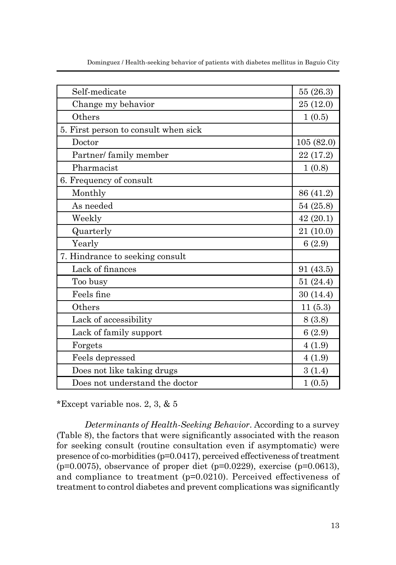| Self-medicate                        | 55(26.3)  |
|--------------------------------------|-----------|
| Change my behavior                   | 25 (12.0) |
| Others                               | 1(0.5)    |
| 5. First person to consult when sick |           |
| Doctor                               | 105(82.0) |
| Partner/ family member               | 22 (17.2) |
| Pharmacist                           | 1(0.8)    |
| 6. Frequency of consult              |           |
| Monthly                              | 86 (41.2) |
| As needed                            | 54 (25.8) |
| Weekly                               | 42(20.1)  |
| Quarterly                            | 21(10.0)  |
| Yearly                               | 6(2.9)    |
| 7. Hindrance to seeking consult      |           |
| Lack of finances                     | 91 (43.5) |
| Too busy                             | 51 (24.4) |
| Feels fine                           | 30(14.4)  |
| Others                               | 11(5.3)   |
| Lack of accessibility                | 8(3.8)    |
| Lack of family support               | 6(2.9)    |
| Forgets                              | 4(1.9)    |
| Feels depressed                      | 4(1.9)    |
| Does not like taking drugs           | 3(1.4)    |
| Does not understand the doctor       | 1(0.5)    |

Dominguez / Health-seeking behavior of patients with diabetes mellitus in Baguio City

\*Except variable nos. 2, 3, & 5

*Determinants of Health-Seeking Behavior*. According to a survey (Table 8), the factors that were significantly associated with the reason for seeking consult (routine consultation even if asymptomatic) were presence of co-morbidities (p=0.0417), perceived effectiveness of treatment  $(p=0.0075)$ , observance of proper diet  $(p=0.0229)$ , exercise  $(p=0.0613)$ , and compliance to treatment (p=0.0210). Perceived effectiveness of treatment to control diabetes and prevent complications was significantly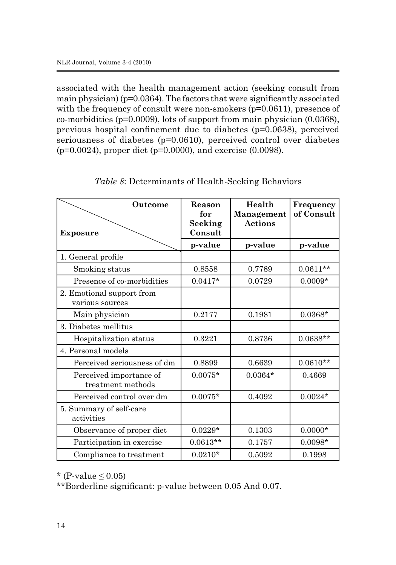associated with the health management action (seeking consult from main physician) ( $p=0.0364$ ). The factors that were significantly associated with the frequency of consult were non-smokers (p=0.0611), presence of co-morbidities (p=0.0009), lots of support from main physician (0.0368), previous hospital confinement due to diabetes (p=0.0638), perceived seriousness of diabetes (p=0.0610), perceived control over diabetes (p=0.0024), proper diet (p=0.0000), and exercise (0.0098).

| Outcome                                      | Reason<br>for      | Health<br>Management | Frequency<br>of Consult |  |
|----------------------------------------------|--------------------|----------------------|-------------------------|--|
| <b>Exposure</b>                              | Seeking<br>Consult | <b>Actions</b>       |                         |  |
|                                              | p-value            | p-value              | p-value                 |  |
| 1. General profile                           |                    |                      |                         |  |
| Smoking status                               | 0.8558             | 0.7789               | $0.0611**$              |  |
| Presence of co-morbidities                   | $0.0417*$          | 0.0729               | $0.0009*$               |  |
| 2. Emotional support from<br>various sources |                    |                      |                         |  |
| Main physician                               | 0.2177             | 0.1981               | $0.0368*$               |  |
| 3. Diabetes mellitus                         |                    |                      |                         |  |
| Hospitalization status                       | 0.3221             | 0.8736               | $0.0638**$              |  |
| 4. Personal models                           |                    |                      |                         |  |
| Perceived seriousness of dm                  | 0.8899             | 0.6639               | $0.0610**$              |  |
| Perceived importance of<br>treatment methods | $0.0075*$          | $0.0364*$            | 0.4669                  |  |
| Perceived control over dm                    | $0.0075*$          | 0.4092               | $0.0024*$               |  |
| 5. Summary of self-care<br>activities        |                    |                      |                         |  |
| Observance of proper diet                    | $0.0229*$          | 0.1303               | $0.0000*$               |  |
| Participation in exercise                    | $0.0613**$         | 0.1757               | $0.0098*$               |  |
| Compliance to treatment                      | $0.0210*$          | 0.5092               | 0.1998                  |  |

|  | Table 8: Determinants of Health-Seeking Behaviors |  |  |  |  |
|--|---------------------------------------------------|--|--|--|--|
|  |                                                   |  |  |  |  |

\* (P-value  $\leq 0.05$ )

\*\*Borderline significant: p-value between 0.05 And 0.07.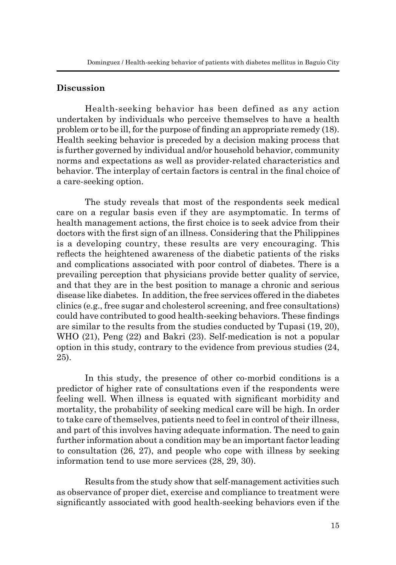### **Discussion**

Health-seeking behavior has been defined as any action undertaken by individuals who perceive themselves to have a health problem or to be ill, for the purpose of finding an appropriate remedy (18). Health seeking behavior is preceded by a decision making process that is further governed by individual and/or household behavior, community norms and expectations as well as provider-related characteristics and behavior. The interplay of certain factors is central in the final choice of a care-seeking option.

The study reveals that most of the respondents seek medical care on a regular basis even if they are asymptomatic. In terms of health management actions, the first choice is to seek advice from their doctors with the first sign of an illness. Considering that the Philippines is a developing country, these results are very encouraging. This reflects the heightened awareness of the diabetic patients of the risks and complications associated with poor control of diabetes. There is a prevailing perception that physicians provide better quality of service, and that they are in the best position to manage a chronic and serious disease like diabetes. In addition, the free services offered in the diabetes clinics (e.g., free sugar and cholesterol screening, and free consultations) could have contributed to good health-seeking behaviors. These findings are similar to the results from the studies conducted by Tupasi (19, 20), WHO (21), Peng (22) and Bakri (23). Self-medication is not a popular option in this study, contrary to the evidence from previous studies (24, 25).

In this study, the presence of other co-morbid conditions is a predictor of higher rate of consultations even if the respondents were feeling well. When illness is equated with significant morbidity and mortality, the probability of seeking medical care will be high. In order to take care of themselves, patients need to feel in control of their illness, and part of this involves having adequate information. The need to gain further information about a condition may be an important factor leading to consultation (26, 27), and people who cope with illness by seeking information tend to use more services (28, 29, 30).

Results from the study show that self-management activities such as observance of proper diet, exercise and compliance to treatment were significantly associated with good health-seeking behaviors even if the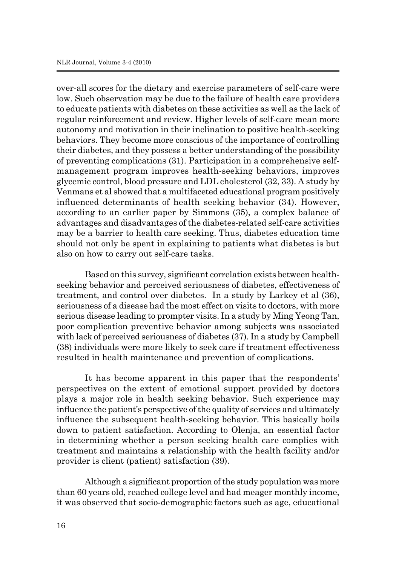over-all scores for the dietary and exercise parameters of self-care were low. Such observation may be due to the failure of health care providers to educate patients with diabetes on these activities as well as the lack of regular reinforcement and review. Higher levels of self-care mean more autonomy and motivation in their inclination to positive health-seeking behaviors. They become more conscious of the importance of controlling their diabetes, and they possess a better understanding of the possibility of preventing complications (31). Participation in a comprehensive selfmanagement program improves health-seeking behaviors, improves glycemic control, blood pressure and LDL cholesterol (32, 33). A study by Venmans et al showed that a multifaceted educational program positively influenced determinants of health seeking behavior (34). However, according to an earlier paper by Simmons (35), a complex balance of advantages and disadvantages of the diabetes-related self-care activities may be a barrier to health care seeking. Thus, diabetes education time should not only be spent in explaining to patients what diabetes is but also on how to carry out self-care tasks.

Based on this survey, significant correlation exists between healthseeking behavior and perceived seriousness of diabetes, effectiveness of treatment, and control over diabetes. In a study by Larkey et al (36), seriousness of a disease had the most effect on visits to doctors, with more serious disease leading to prompter visits. In a study by Ming Yeong Tan, poor complication preventive behavior among subjects was associated with lack of perceived seriousness of diabetes (37). In a study by Campbell (38) individuals were more likely to seek care if treatment effectiveness resulted in health maintenance and prevention of complications.

It has become apparent in this paper that the respondents' perspectives on the extent of emotional support provided by doctors plays a major role in health seeking behavior. Such experience may influence the patient's perspective of the quality of services and ultimately influence the subsequent health-seeking behavior. This basically boils down to patient satisfaction. According to Olenja, an essential factor in determining whether a person seeking health care complies with treatment and maintains a relationship with the health facility and/or provider is client (patient) satisfaction (39).

Although a significant proportion of the study population was more than 60 years old, reached college level and had meager monthly income, it was observed that socio-demographic factors such as age, educational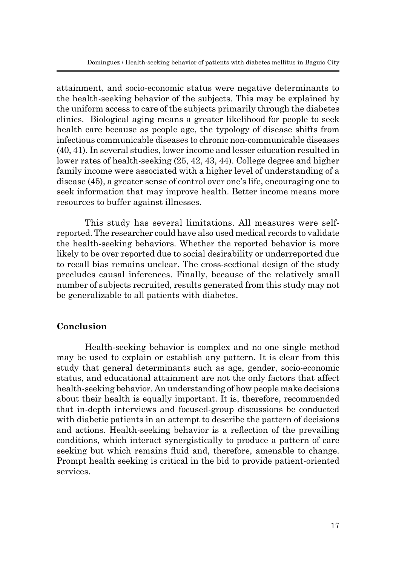attainment, and socio-economic status were negative determinants to the health-seeking behavior of the subjects. This may be explained by the uniform access to care of the subjects primarily through the diabetes clinics. Biological aging means a greater likelihood for people to seek health care because as people age, the typology of disease shifts from infectious communicable diseases to chronic non-communicable diseases (40, 41). In several studies, lower income and lesser education resulted in lower rates of health-seeking (25, 42, 43, 44). College degree and higher family income were associated with a higher level of understanding of a disease (45), a greater sense of control over one's life, encouraging one to seek information that may improve health. Better income means more resources to buffer against illnesses.

This study has several limitations. All measures were selfreported. The researcher could have also used medical records to validate the health-seeking behaviors. Whether the reported behavior is more likely to be over reported due to social desirability or underreported due to recall bias remains unclear. The cross-sectional design of the study precludes causal inferences. Finally, because of the relatively small number of subjects recruited, results generated from this study may not be generalizable to all patients with diabetes.

## **Conclusion**

Health-seeking behavior is complex and no one single method may be used to explain or establish any pattern. It is clear from this study that general determinants such as age, gender, socio-economic status, and educational attainment are not the only factors that affect health-seeking behavior. An understanding of how people make decisions about their health is equally important. It is, therefore, recommended that in-depth interviews and focused-group discussions be conducted with diabetic patients in an attempt to describe the pattern of decisions and actions. Health-seeking behavior is a reflection of the prevailing conditions, which interact synergistically to produce a pattern of care seeking but which remains fluid and, therefore, amenable to change. Prompt health seeking is critical in the bid to provide patient-oriented services.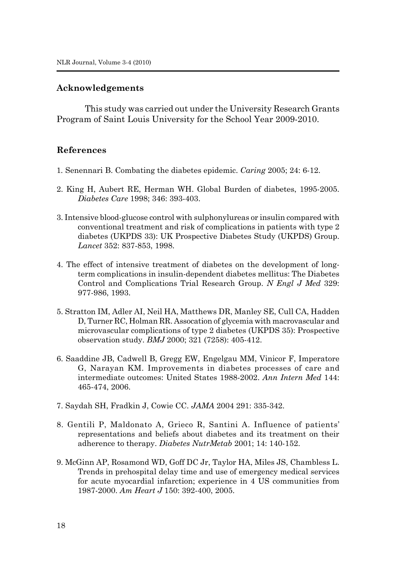### **Acknowledgements**

This study was carried out under the University Research Grants Program of Saint Louis University for the School Year 2009-2010.

### **References**

- 1*.* Senennari B. Combating the diabetes epidemic. *Caring* 2005; 24: 6-12.
- 2. King H, Aubert RE, Herman WH. Global Burden of diabetes, 1995-2005. *Diabetes Care* 1998; 346: 393-403.
- 3. Intensive blood-glucose control with sulphonylureas or insulin compared with conventional treatment and risk of complications in patients with type 2 diabetes (UKPDS 33): UK Prospective Diabetes Study (UKPDS) Group. *Lancet* 352: 837-853, 1998.
- 4. The effect of intensive treatment of diabetes on the development of longterm complications in insulin-dependent diabetes mellitus: The Diabetes Control and Complications Trial Research Group. *N Engl J Med* 329: 977-986, 1993.
- 5. Stratton IM, Adler AI, Neil HA, Matthews DR, Manley SE, Cull CA, Hadden D, Turner RC, Holman RR. Assocation of glycemia with macrovascular and microvascular complications of type 2 diabetes (UKPDS 35): Prospective observation study. *BMJ* 2000; 321 (7258): 405-412.
- 6. Saaddine JB, Cadwell B, Gregg EW, Engelgau MM, Vinicor F, Imperatore G, Narayan KM. Improvements in diabetes processes of care and intermediate outcomes: United States 1988-2002. *Ann Intern Med* 144: 465-474, 2006.
- 7. Saydah SH, Fradkin J, Cowie CC. *JAMA* 2004 291: 335-342.
- 8. Gentili P, Maldonato A, Grieco R, Santini A. Influence of patients' representations and beliefs about diabetes and its treatment on their adherence to therapy. *Diabetes NutrMetab* 2001; 14: 140-152.
- 9. McGinn AP, Rosamond WD, Goff DC Jr, Taylor HA, Miles JS, Chambless L. Trends in prehospital delay time and use of emergency medical services for acute myocardial infarction; experience in 4 US communities from 1987-2000. *Am Heart J* 150: 392-400, 2005.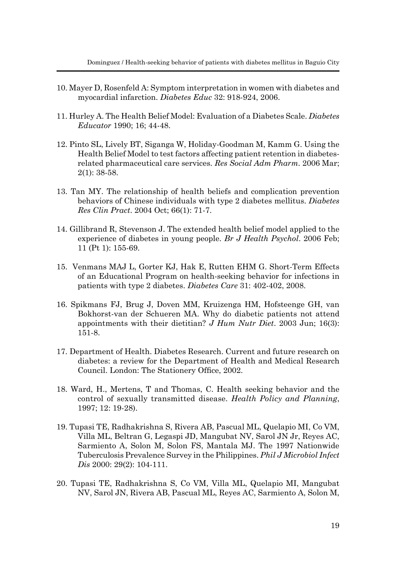- 10. Mayer D, Rosenfeld A: Symptom interpretation in women with diabetes and myocardial infarction. *Diabetes Educ* 32: 918-924, 2006.
- 11. Hurley A. The Health Belief Model: Evaluation of a Diabetes Scale. *Diabetes Educator* 1990; 16; 44-48.
- 12. Pinto SL, Lively BT, Siganga W, Holiday-Goodman M, Kamm G. Using the Health Belief Model to test factors affecting patient retention in diabetesrelated pharmaceutical care services. *Res Social Adm Pharm.* 2006 Mar; 2(1): 38-58.
- 13. Tan MY. The relationship of health beliefs and complication prevention behaviors of Chinese individuals with type 2 diabetes mellitus. *Diabetes Res Clin Pract*. 2004 Oct; 66(1): 71-7.
- 14. Gillibrand R, Stevenson J. The extended health belief model applied to the experience of diabetes in young people. *Br J Health Psychol*. 2006 Feb; 11 (Pt 1): 155-69.
- 15. Venmans MAJ L, Gorter KJ, Hak E, Rutten EHM G. Short-Term Effects of an Educational Program on health-seeking behavior for infections in patients with type 2 diabetes. *Diabetes Care* 31: 402-402, 2008.
- 16. Spikmans FJ, Brug J, Doven MM, Kruizenga HM, Hofsteenge GH, van Bokhorst-van der Schueren MA. Why do diabetic patients not attend appointments with their dietitian? *J Hum Nutr Diet*. 2003 Jun; 16(3): 151-8.
- 17. Department of Health. Diabetes Research. Current and future research on diabetes: a review for the Department of Health and Medical Research Council. London: The Stationery Office, 2002.
- 18. Ward, H., Mertens, T and Thomas, C. Health seeking behavior and the control of sexually transmitted disease. *Health Policy and Planning*, 1997; 12: 19-28).
- 19. Tupasi TE, Radhakrishna S, Rivera AB, Pascual ML, Quelapio MI, Co VM, Villa ML, Beltran G, Legaspi JD, Mangubat NV, Sarol JN Jr, Reyes AC, Sarmiento A, Solon M, Solon FS, Mantala MJ. The 1997 Nationwide Tuberculosis Prevalence Survey in the Philippines. *Phil J Microbiol Infect Dis* 2000: 29(2): 104-111.
- 20. Tupasi TE, Radhakrishna S, Co VM, Villa ML, Quelapio MI, Mangubat NV, Sarol JN, Rivera AB, Pascual ML, Reyes AC, Sarmiento A, Solon M,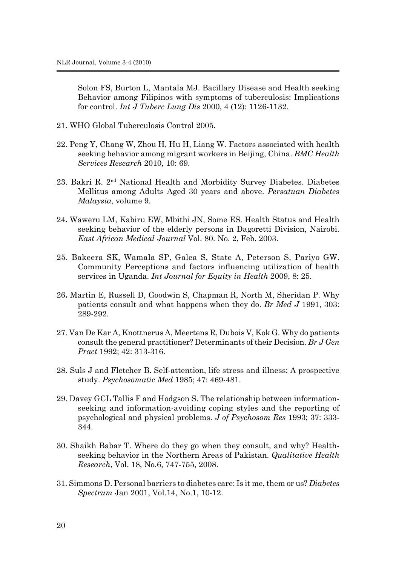Solon FS, Burton L, Mantala MJ. Bacillary Disease and Health seeking Behavior among Filipinos with symptoms of tuberculosis: Implications for control. *Int J Tuberc Lung Dis* 2000, 4 (12): 1126-1132.

- 21. WHO Global Tuberculosis Control 2005.
- 22. Peng Y, Chang W, Zhou H, Hu H, Liang W. Factors associated with health seeking behavior among migrant workers in Beijing, China. *BMC Health Services Research* 2010, 10: 69.
- 23. Bakri R. 2nd National Health and Morbidity Survey Diabetes. Diabetes Mellitus among Adults Aged 30 years and above. *Persatuan Diabetes Malaysia*, volume 9.
- 24**.** Waweru LM, Kabiru EW, Mbithi JN, Some ES. Health Status and Health seeking behavior of the elderly persons in Dagoretti Division, Nairobi. *East African Medical Journal* Vol. 80. No. 2, Feb. 2003.
- 25. Bakeera SK, Wamala SP, Galea S, State A, Peterson S, Pariyo GW. Community Perceptions and factors influencing utilization of health services in Uganda. *Int Journal for Equity in Health* 2009, 8: 25.
- 26**.** Martin E, Russell D, Goodwin S, Chapman R, North M, Sheridan P. Why patients consult and what happens when they do. *Br Med J* 1991, 303: 289-292.
- 27. Van De Kar A, Knottnerus A, Meertens R, Dubois V, Kok G. Why do patients consult the general practitioner? Determinants of their Decision. *Br J Gen Pract* 1992; 42: 313-316.
- 28. Suls J and Fletcher B. Self-attention, life stress and illness: A prospective study. *Psychosomatic Med* 1985; 47: 469-481.
- 29. Davey GCL Tallis F and Hodgson S. The relationship between informationseeking and information-avoiding coping styles and the reporting of psychological and physical problems. *J of Psychosom Res* 1993; 37: 333- 344.
- 30. Shaikh Babar T. Where do they go when they consult, and why? Healthseeking behavior in the Northern Areas of Pakistan. *Qualitative Health Research*, Vol. 18, No.6, 747-755, 2008.
- 31. Simmons D. Personal barriers to diabetes care: Is it me, them or us? *Diabetes Spectrum* Jan 2001, Vol.14, No.1, 10-12.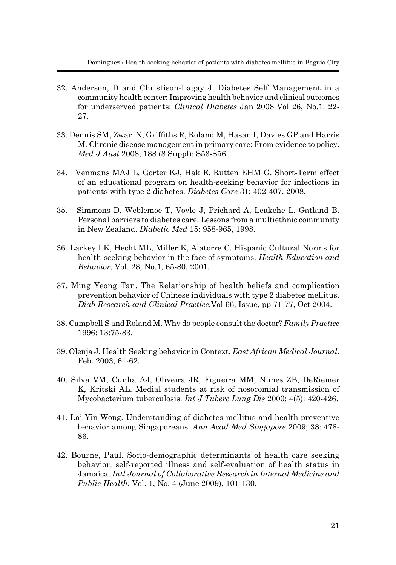- 32. Anderson, D and Christison-Lagay J. Diabetes Self Management in a community health center: Improving health behavior and clinical outcomes for underserved patients: *Clinical Diabetes* Jan 2008 Vol 26, No.1: 22- 27.
- 33. Dennis SM, Zwar N, Griffiths R, Roland M, Hasan I, Davies GP and Harris M. Chronic disease management in primary care: From evidence to policy. *Med J Aust* 2008; 188 (8 Suppl): S53-S56.
- 34. Venmans MAJ L, Gorter KJ, Hak E, Rutten EHM G. Short-Term effect of an educational program on health-seeking behavior for infections in patients with type 2 diabetes. *Diabetes Care* 31; 402-407, 2008.
- 35. Simmons D, Weblemoe T, Voyle J, Prichard A, Leakehe L, Gatland B. Personal barriers to diabetes care: Lessons from a multiethnic community in New Zealand. *Diabetic Med* 15: 958-965, 1998.
- 36. Larkey LK, Hecht ML, Miller K, Alatorre C. Hispanic Cultural Norms for health-seeking behavior in the face of symptoms. *Health Education and Behavior*, Vol. 28, No.1, 65-80, 2001.
- 37. Ming Yeong Tan. The Relationship of health beliefs and complication prevention behavior of Chinese individuals with type 2 diabetes mellitus. *Diab Research and Clinical Practice.*Vol 66, Issue, pp 71-77, Oct 2004.
- 38. Campbell S and Roland M. Why do people consult the doctor? *Family Practice*  1996; 13:75-83.
- 39. Olenja J. Health Seeking behavior in Context. *East African Medical Journal*. Feb. 2003, 61-62.
- 40. Silva VM, Cunha AJ, Oliveira JR, Figueira MM, Nunes ZB, DeRiemer K, Kritski AL. Medial students at risk of nosocomial transmission of Mycobacterium tuberculosis. *Int J Tuberc Lung Dis* 2000; 4(5): 420-426.
- 41. Lai Yin Wong. Understanding of diabetes mellitus and health-preventive behavior among Singaporeans. *Ann Acad Med Singapore* 2009; 38: 478- 86.
- 42. Bourne, Paul. Socio-demographic determinants of health care seeking behavior, self-reported illness and self-evaluation of health status in Jamaica. *Intl Journal of Collaborative Research in Internal Medicine and Public Health.* Vol. 1, No. 4 (June 2009), 101-130.